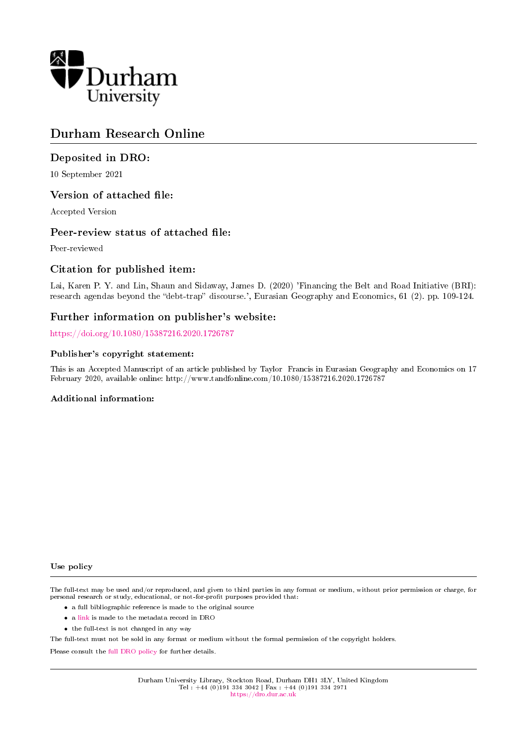

# Durham Research Online

## Deposited in DRO:

10 September 2021

### Version of attached file:

Accepted Version

### Peer-review status of attached file:

Peer-reviewed

### Citation for published item:

Lai, Karen P. Y. and Lin, Shaun and Sidaway, James D. (2020) 'Financing the Belt and Road Initiative (BRI): research agendas beyond the "debt-trap" discourse.', Eurasian Geography and Economics, 61 (2). pp. 109-124.

### Further information on publisher's website:

<https://doi.org/10.1080/15387216.2020.1726787>

#### Publisher's copyright statement:

This is an Accepted Manuscript of an article published by Taylor Francis in Eurasian Geography and Economics on 17 February 2020, available online: http://www.tandfonline.com/10.1080/15387216.2020.1726787

#### Additional information:

Use policy

The full-text may be used and/or reproduced, and given to third parties in any format or medium, without prior permission or charge, for personal research or study, educational, or not-for-profit purposes provided that:

- a full bibliographic reference is made to the original source
- a [link](http://dro.dur.ac.uk/33795/) is made to the metadata record in DRO
- the full-text is not changed in any way

The full-text must not be sold in any format or medium without the formal permission of the copyright holders.

Please consult the [full DRO policy](https://dro.dur.ac.uk/policies/usepolicy.pdf) for further details.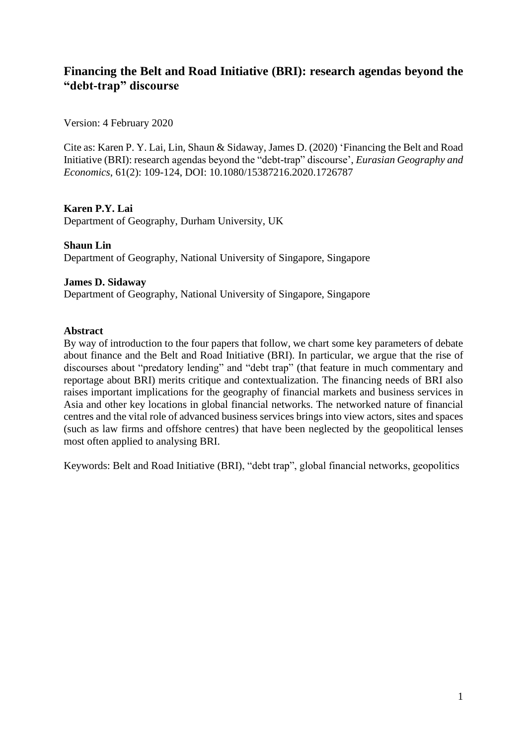# **Financing the Belt and Road Initiative (BRI): research agendas beyond the "debt-trap" discourse**

Version: 4 February 2020

Cite as: Karen P. Y. Lai, Lin, Shaun & Sidaway, James D. (2020) 'Financing the Belt and Road Initiative (BRI): research agendas beyond the "debt-trap" discourse', *Eurasian Geography and Economics*, 61(2): 109-124, DOI: 10.1080/15387216.2020.1726787

## **Karen P.Y. Lai**

Department of Geography, Durham University, UK

# **Shaun Lin**  Department of Geography, National University of Singapore, Singapore

### **James D. Sidaway**

Department of Geography, National University of Singapore, Singapore

#### **Abstract**

By way of introduction to the four papers that follow, we chart some key parameters of debate about finance and the Belt and Road Initiative (BRI). In particular, we argue that the rise of discourses about "predatory lending" and "debt trap" (that feature in much commentary and reportage about BRI) merits critique and contextualization. The financing needs of BRI also raises important implications for the geography of financial markets and business services in Asia and other key locations in global financial networks. The networked nature of financial centres and the vital role of advanced business services brings into view actors, sites and spaces (such as law firms and offshore centres) that have been neglected by the geopolitical lenses most often applied to analysing BRI.

Keywords: Belt and Road Initiative (BRI), "debt trap", global financial networks, geopolitics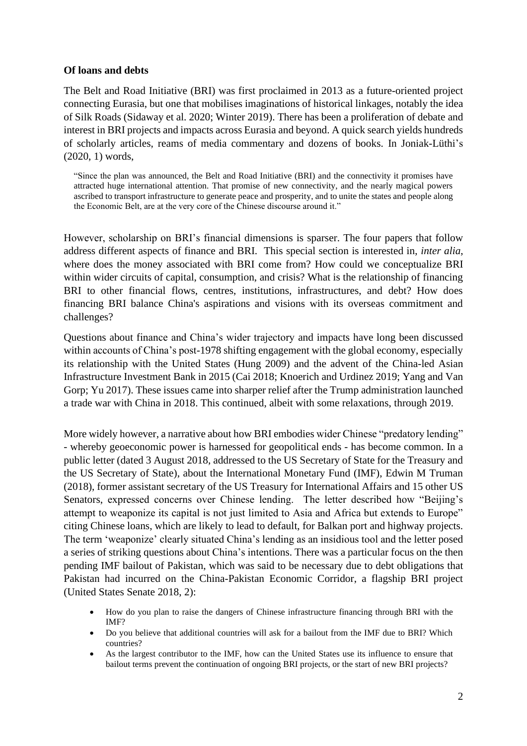## **Of loans and debts**

The Belt and Road Initiative (BRI) was first proclaimed in 2013 as a future-oriented project connecting Eurasia, but one that mobilises imaginations of historical linkages, notably the idea of Silk Roads (Sidaway et al. 2020; Winter 2019). There has been a proliferation of debate and interest in BRI projects and impacts across Eurasia and beyond. A quick search yields hundreds of scholarly articles, reams of media commentary and dozens of books. In Joniak-Lüthi's (2020, 1) words,

"Since the plan was announced, the Belt and Road Initiative (BRI) and the connectivity it promises have attracted huge international attention. That promise of new connectivity, and the nearly magical powers ascribed to transport infrastructure to generate peace and prosperity, and to unite the states and people along the Economic Belt, are at the very core of the Chinese discourse around it."

However, scholarship on BRI's financial dimensions is sparser. The four papers that follow address different aspects of finance and BRI. This special section is interested in, *inter alia*, where does the money associated with BRI come from? How could we conceptualize BRI within wider circuits of capital, consumption, and crisis? What is the relationship of financing BRI to other financial flows, centres, institutions, infrastructures, and debt? How does financing BRI balance China's aspirations and visions with its overseas commitment and challenges?

Questions about finance and China's wider trajectory and impacts have long been discussed within accounts of China's post-1978 shifting engagement with the global economy, especially its relationship with the United States (Hung 2009) and the advent of the China-led Asian Infrastructure Investment Bank in 2015 (Cai 2018; Knoerich and Urdinez 2019; Yang and Van Gorp; Yu 2017). These issues came into sharper relief after the Trump administration launched a trade war with China in 2018. This continued, albeit with some relaxations, through 2019.

More widely however, a narrative about how BRI embodies wider Chinese "predatory lending" - whereby geoeconomic power is harnessed for geopolitical ends - has become common. In a public letter (dated 3 August 2018, addressed to the US Secretary of State for the Treasury and the US Secretary of State), about the International Monetary Fund (IMF), Edwin M Truman (2018), former assistant secretary of the US Treasury for International Affairs and 15 other US Senators, expressed concerns over Chinese lending. The letter described how "Beijing's attempt to weaponize its capital is not just limited to Asia and Africa but extends to Europe" citing Chinese loans, which are likely to lead to default, for Balkan port and highway projects. The term 'weaponize' clearly situated China's lending as an insidious tool and the letter posed a series of striking questions about China's intentions. There was a particular focus on the then pending IMF bailout of Pakistan, which was said to be necessary due to debt obligations that Pakistan had incurred on the China-Pakistan Economic Corridor, a flagship BRI project (United States Senate 2018, 2):

- How do you plan to raise the dangers of Chinese infrastructure financing through BRI with the IMF?
- Do you believe that additional countries will ask for a bailout from the IMF due to BRI? Which countries?
- As the largest contributor to the IMF, how can the United States use its influence to ensure that bailout terms prevent the continuation of ongoing BRI projects, or the start of new BRI projects?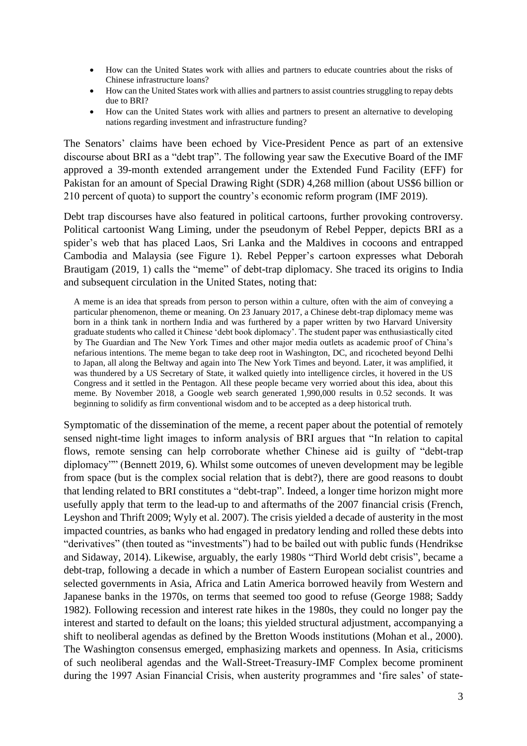- How can the United States work with allies and partners to educate countries about the risks of Chinese infrastructure loans?
- How can the United States work with allies and partners to assist countries struggling to repay debts due to BRI?
- How can the United States work with allies and partners to present an alternative to developing nations regarding investment and infrastructure funding?

The Senators' claims have been echoed by Vice-President Pence as part of an extensive discourse about BRI as a "debt trap". The following year saw the Executive Board of the IMF approved a 39-month extended arrangement under the Extended Fund Facility (EFF) for Pakistan for an amount of Special Drawing Right (SDR) 4,268 million (about US\$6 billion or 210 percent of quota) to support the country's economic reform program (IMF 2019).

Debt trap discourses have also featured in political cartoons, further provoking controversy. Political cartoonist Wang Liming, under the pseudonym of Rebel Pepper, depicts BRI as a spider's web that has placed Laos, Sri Lanka and the Maldives in cocoons and entrapped Cambodia and Malaysia (see Figure 1). Rebel Pepper's cartoon expresses what Deborah Brautigam (2019, 1) calls the "meme" of debt-trap diplomacy. She traced its origins to India and subsequent circulation in the United States, noting that:

A meme is an idea that spreads from person to person within a culture, often with the aim of conveying a particular phenomenon, theme or meaning. On 23 January 2017, a Chinese debt-trap diplomacy meme was born in a think tank in northern India and was furthered by a paper written by two Harvard University graduate students who called it Chinese 'debt book diplomacy'. The student paper was enthusiastically cited by The Guardian and The New York Times and other major media outlets as academic proof of China's nefarious intentions. The meme began to take deep root in Washington, DC, and ricocheted beyond Delhi to Japan, all along the Beltway and again into The New York Times and beyond. Later, it was amplified, it was thundered by a US Secretary of State, it walked quietly into intelligence circles, it hovered in the US Congress and it settled in the Pentagon. All these people became very worried about this idea, about this meme. By November 2018, a Google web search generated 1,990,000 results in 0.52 seconds. It was beginning to solidify as firm conventional wisdom and to be accepted as a deep historical truth.

Symptomatic of the dissemination of the meme, a recent paper about the potential of remotely sensed night-time light images to inform analysis of BRI argues that "In relation to capital flows, remote sensing can help corroborate whether Chinese aid is guilty of "debt-trap diplomacy"" (Bennett 2019, 6). Whilst some outcomes of uneven development may be legible from space (but is the complex social relation that is debt?), there are good reasons to doubt that lending related to BRI constitutes a "debt-trap". Indeed, a longer time horizon might more usefully apply that term to the lead-up to and aftermaths of the 2007 financial crisis (French, Leyshon and Thrift 2009; Wyly et al. 2007). The crisis yielded a decade of austerity in the most impacted countries, as banks who had engaged in predatory lending and rolled these debts into "derivatives" (then touted as "investments") had to be bailed out with public funds (Hendrikse and Sidaway, 2014). Likewise, arguably, the early 1980s "Third World debt crisis", became a debt-trap, following a decade in which a number of Eastern European socialist countries and selected governments in Asia, Africa and Latin America borrowed heavily from Western and Japanese banks in the 1970s, on terms that seemed too good to refuse (George 1988; Saddy 1982). Following recession and interest rate hikes in the 1980s, they could no longer pay the interest and started to default on the loans; this yielded structural adjustment, accompanying a shift to neoliberal agendas as defined by the Bretton Woods institutions (Mohan et al., 2000). The Washington consensus emerged, emphasizing markets and openness. In Asia, criticisms of such neoliberal agendas and the Wall-Street-Treasury-IMF Complex become prominent during the 1997 Asian Financial Crisis, when austerity programmes and 'fire sales' of state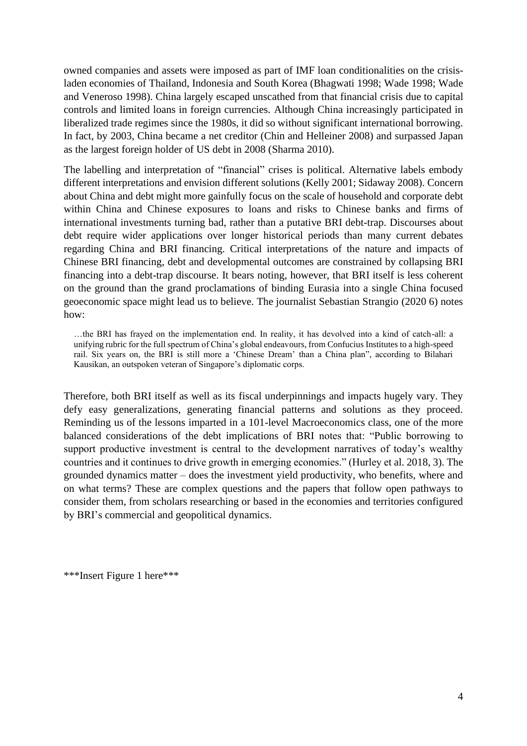owned companies and assets were imposed as part of IMF loan conditionalities on the crisisladen economies of Thailand, Indonesia and South Korea (Bhagwati 1998; Wade 1998; Wade and Veneroso 1998). China largely escaped unscathed from that financial crisis due to capital controls and limited loans in foreign currencies. Although China increasingly participated in liberalized trade regimes since the 1980s, it did so without significant international borrowing. In fact, by 2003, China became a net creditor (Chin and Helleiner 2008) and surpassed Japan as the largest foreign holder of US debt in 2008 (Sharma 2010).

The labelling and interpretation of "financial" crises is political. Alternative labels embody different interpretations and envision different solutions (Kelly 2001; Sidaway 2008). Concern about China and debt might more gainfully focus on the scale of household and corporate debt within China and Chinese exposures to loans and risks to Chinese banks and firms of international investments turning bad, rather than a putative BRI debt-trap. Discourses about debt require wider applications over longer historical periods than many current debates regarding China and BRI financing. Critical interpretations of the nature and impacts of Chinese BRI financing, debt and developmental outcomes are constrained by collapsing BRI financing into a debt-trap discourse. It bears noting, however, that BRI itself is less coherent on the ground than the grand proclamations of binding Eurasia into a single China focused geoeconomic space might lead us to believe. The journalist Sebastian Strangio (2020 6) notes how:

…the BRI has frayed on the implementation end. In reality, it has devolved into a kind of catch-all: a unifying rubric for the full spectrum of China's global endeavours, from Confucius Institutes to a high-speed rail. Six years on, the BRI is still more a 'Chinese Dream' than a China plan", according to Bilahari Kausikan, an outspoken veteran of Singapore's diplomatic corps.

Therefore, both BRI itself as well as its fiscal underpinnings and impacts hugely vary. They defy easy generalizations, generating financial patterns and solutions as they proceed. Reminding us of the lessons imparted in a 101-level Macroeconomics class, one of the more balanced considerations of the debt implications of BRI notes that: "Public borrowing to support productive investment is central to the development narratives of today's wealthy countries and it continues to drive growth in emerging economies." (Hurley et al. 2018, 3). The grounded dynamics matter – does the investment yield productivity, who benefits, where and on what terms? These are complex questions and the papers that follow open pathways to consider them, from scholars researching or based in the economies and territories configured by BRI's commercial and geopolitical dynamics.

\*\*\*Insert Figure 1 here\*\*\*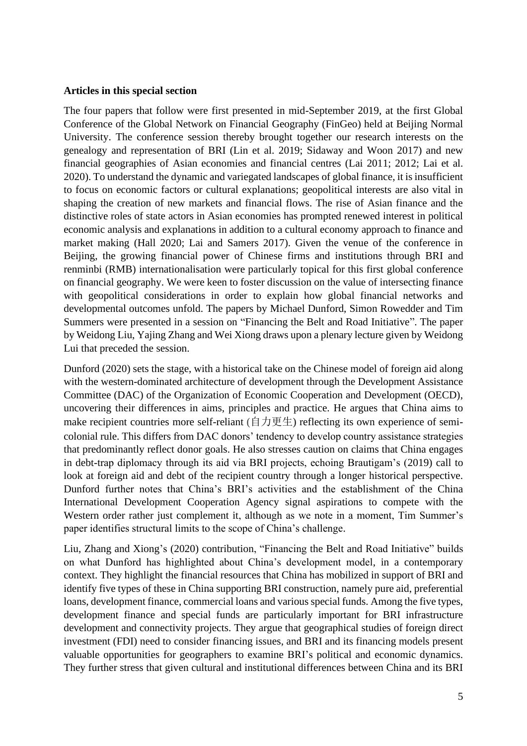### **Articles in this special section**

The four papers that follow were first presented in mid-September 2019, at the first Global Conference of the Global Network on Financial Geography (FinGeo) held at Beijing Normal University. The conference session thereby brought together our research interests on the genealogy and representation of BRI (Lin et al. 2019; Sidaway and Woon 2017) and new financial geographies of Asian economies and financial centres (Lai 2011; 2012; Lai et al. 2020). To understand the dynamic and variegated landscapes of global finance, it is insufficient to focus on economic factors or cultural explanations; geopolitical interests are also vital in shaping the creation of new markets and financial flows. The rise of Asian finance and the distinctive roles of state actors in Asian economies has prompted renewed interest in political economic analysis and explanations in addition to a cultural economy approach to finance and market making (Hall 2020; Lai and Samers 2017). Given the venue of the conference in Beijing, the growing financial power of Chinese firms and institutions through BRI and renminbi (RMB) internationalisation were particularly topical for this first global conference on financial geography. We were keen to foster discussion on the value of intersecting finance with geopolitical considerations in order to explain how global financial networks and developmental outcomes unfold. The papers by Michael Dunford, Simon Rowedder and Tim Summers were presented in a session on "Financing the Belt and Road Initiative". The paper by Weidong Liu, Yajing Zhang and Wei Xiong draws upon a plenary lecture given by Weidong Lui that preceded the session.

Dunford (2020) sets the stage, with a historical take on the Chinese model of foreign aid along with the western-dominated architecture of development through the Development Assistance Committee (DAC) of the Organization of Economic Cooperation and Development (OECD), uncovering their differences in aims, principles and practice. He argues that China aims to make recipient countries more self-reliant (自力更生) reflecting its own experience of semicolonial rule. This differs from DAC donors' tendency to develop country assistance strategies that predominantly reflect donor goals. He also stresses caution on claims that China engages in debt-trap diplomacy through its aid via BRI projects, echoing Brautigam's (2019) call to look at foreign aid and debt of the recipient country through a longer historical perspective. Dunford further notes that China's BRI's activities and the establishment of the China International Development Cooperation Agency signal aspirations to compete with the Western order rather just complement it, although as we note in a moment, Tim Summer's paper identifies structural limits to the scope of China's challenge.

Liu, Zhang and Xiong's (2020) contribution, "Financing the Belt and Road Initiative" builds on what Dunford has highlighted about China's development model, in a contemporary context. They highlight the financial resources that China has mobilized in support of BRI and identify five types of these in China supporting BRI construction, namely pure aid, preferential loans, development finance, commercial loans and various special funds. Among the five types, development finance and special funds are particularly important for BRI infrastructure development and connectivity projects. They argue that geographical studies of foreign direct investment (FDI) need to consider financing issues, and BRI and its financing models present valuable opportunities for geographers to examine BRI's political and economic dynamics. They further stress that given cultural and institutional differences between China and its BRI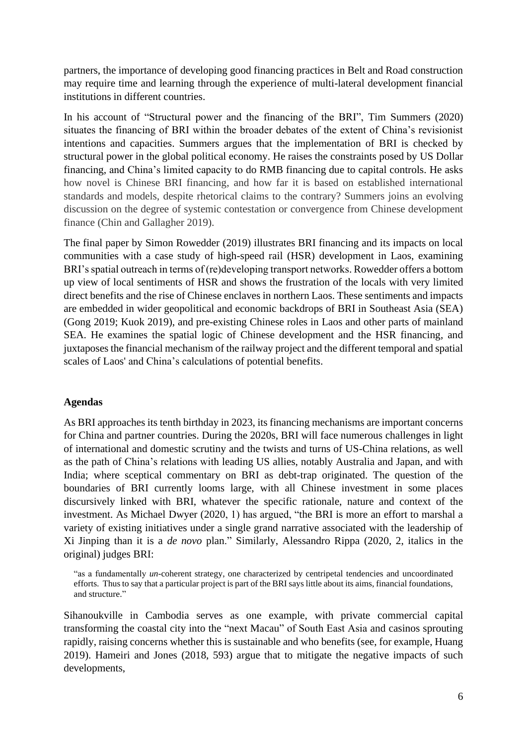partners, the importance of developing good financing practices in Belt and Road construction may require time and learning through the experience of multi-lateral development financial institutions in different countries.

In his account of "Structural power and the financing of the BRI", Tim Summers (2020) situates the financing of BRI within the broader debates of the extent of China's revisionist intentions and capacities. Summers argues that the implementation of BRI is checked by structural power in the global political economy. He raises the constraints posed by US Dollar financing, and China's limited capacity to do RMB financing due to capital controls. He asks how novel is Chinese BRI financing, and how far it is based on established international standards and models, despite rhetorical claims to the contrary? Summers joins an evolving discussion on the degree of systemic contestation or convergence from Chinese development finance (Chin and Gallagher 2019).

The final paper by Simon Rowedder (2019) illustrates BRI financing and its impacts on local communities with a case study of high-speed rail (HSR) development in Laos, examining BRI's spatial outreach in terms of (re)developing transport networks. Rowedder offers a bottom up view of local sentiments of HSR and shows the frustration of the locals with very limited direct benefits and the rise of Chinese enclaves in northern Laos. These sentiments and impacts are embedded in wider geopolitical and economic backdrops of BRI in Southeast Asia (SEA) (Gong 2019; Kuok 2019), and pre-existing Chinese roles in Laos and other parts of mainland SEA. He examines the spatial logic of Chinese development and the HSR financing, and juxtaposes the financial mechanism of the railway project and the different temporal and spatial scales of Laos' and China's calculations of potential benefits.

#### **Agendas**

As BRI approaches its tenth birthday in 2023, its financing mechanisms are important concerns for China and partner countries. During the 2020s, BRI will face numerous challenges in light of international and domestic scrutiny and the twists and turns of US-China relations, as well as the path of China's relations with leading US allies, notably Australia and Japan, and with India; where sceptical commentary on BRI as debt-trap originated. The question of the boundaries of BRI currently looms large, with all Chinese investment in some places discursively linked with BRI, whatever the specific rationale, nature and context of the investment. As Michael Dwyer (2020, 1) has argued, "the BRI is more an effort to marshal a variety of existing initiatives under a single grand narrative associated with the leadership of Xi Jinping than it is a *de novo* plan." Similarly, Alessandro Rippa (2020, 2, italics in the original) judges BRI:

"as a fundamentally *un*-coherent strategy, one characterized by centripetal tendencies and uncoordinated efforts. Thus to say that a particular project is part of the BRI says little about its aims, financial foundations, and structure."

Sihanoukville in Cambodia serves as one example, with private commercial capital transforming the coastal city into the "next Macau" of South East Asia and casinos sprouting rapidly, raising concerns whether this is sustainable and who benefits (see, for example, Huang 2019). Hameiri and Jones (2018, 593) argue that to mitigate the negative impacts of such developments,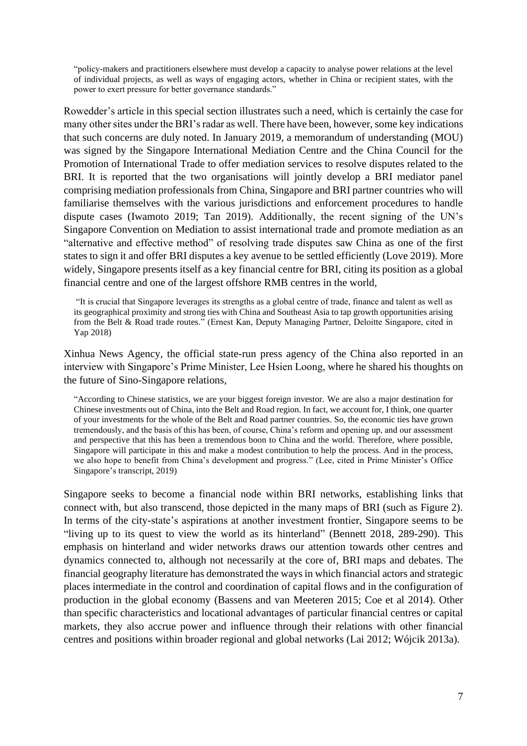"policy-makers and practitioners elsewhere must develop a capacity to analyse power relations at the level of individual projects, as well as ways of engaging actors, whether in China or recipient states, with the power to exert pressure for better governance standards."

Rowedder's article in this special section illustrates such a need, which is certainly the case for many other sites under the BRI's radar as well. There have been, however, some key indications that such concerns are duly noted. In January 2019, a memorandum of understanding (MOU) was signed by the Singapore International Mediation Centre and the China Council for the Promotion of International Trade to offer mediation services to resolve disputes related to the BRI. It is reported that the two organisations will jointly develop a BRI mediator panel comprising mediation professionals from China, Singapore and BRI partner countries who will familiarise themselves with the various jurisdictions and enforcement procedures to handle dispute cases (Iwamoto 2019; Tan 2019). Additionally, the recent signing of the UN's Singapore Convention on Mediation to assist international trade and promote mediation as an "alternative and effective method" of resolving trade disputes saw China as one of the first states to sign it and offer BRI disputes a key avenue to be settled efficiently (Love 2019). More widely, Singapore presents itself as a key financial centre for BRI, citing its position as a global financial centre and one of the largest offshore RMB centres in the world,

"It is crucial that Singapore leverages its strengths as a global centre of trade, finance and talent as well as its geographical proximity and strong ties with China and Southeast Asia to tap growth opportunities arising from the Belt & Road trade routes." (Ernest Kan, Deputy Managing Partner, Deloitte Singapore, cited in Yap 2018)

Xinhua News Agency, the official state-run press agency of the China also reported in an interview with Singapore's Prime Minister, Lee Hsien Loong, where he shared his thoughts on the future of Sino-Singapore relations,

"According to Chinese statistics, we are your biggest foreign investor. We are also a major destination for Chinese investments out of China, into the Belt and Road region. In fact, we account for, I think, one quarter of your investments for the whole of the Belt and Road partner countries. So, the economic ties have grown tremendously, and the basis of this has been, of course, China's reform and opening up, and our assessment and perspective that this has been a tremendous boon to China and the world. Therefore, where possible, Singapore will participate in this and make a modest contribution to help the process. And in the process, we also hope to benefit from China's development and progress." (Lee, cited in Prime Minister's Office Singapore's transcript, 2019)

Singapore seeks to become a financial node within BRI networks, establishing links that connect with, but also transcend, those depicted in the many maps of BRI (such as Figure 2). In terms of the city-state's aspirations at another investment frontier, Singapore seems to be "living up to its quest to view the world as its hinterland" (Bennett 2018, 289-290). This emphasis on hinterland and wider networks draws our attention towards other centres and dynamics connected to, although not necessarily at the core of, BRI maps and debates. The financial geography literature has demonstrated the ways in which financial actors and strategic places intermediate in the control and coordination of capital flows and in the configuration of production in the global economy (Bassens and van Meeteren 2015; Coe et al 2014). Other than specific characteristics and locational advantages of particular financial centres or capital markets, they also accrue power and influence through their relations with other financial centres and positions within broader regional and global networks (Lai 2012; Wójcik 2013a).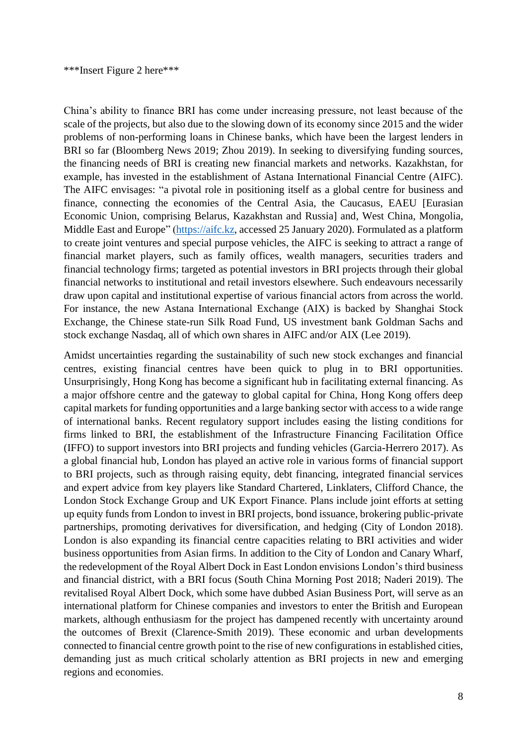China's ability to finance BRI has come under increasing pressure, not least because of the scale of the projects, but also due to the slowing down of its economy since 2015 and the wider problems of non-performing loans in Chinese banks, which have been the largest lenders in BRI so far (Bloomberg News 2019; Zhou 2019). In seeking to diversifying funding sources, the financing needs of BRI is creating new financial markets and networks. Kazakhstan, for example, has invested in the establishment of Astana International Financial Centre (AIFC). The AIFC envisages: "a pivotal role in positioning itself as a global centre for business and finance, connecting the economies of the Central Asia, the Caucasus, EAEU [Eurasian Economic Union, comprising Belarus, Kazakhstan and Russia] and, West China, Mongolia, Middle East and Europe" [\(https://aifc.kz,](https://aifc.kz/) accessed 25 January 2020). Formulated as a platform to create joint ventures and special purpose vehicles, the AIFC is seeking to attract a range of financial market players, such as family offices, wealth managers, securities traders and financial technology firms; targeted as potential investors in BRI projects through their global financial networks to institutional and retail investors elsewhere. Such endeavours necessarily draw upon capital and institutional expertise of various financial actors from across the world. For instance, the new Astana International Exchange (AIX) is backed by Shanghai Stock Exchange, the Chinese state-run Silk Road Fund, US investment bank Goldman Sachs and stock exchange Nasdaq, all of which own shares in AIFC and/or AIX (Lee 2019).

Amidst uncertainties regarding the sustainability of such new stock exchanges and financial centres, existing financial centres have been quick to plug in to BRI opportunities. Unsurprisingly, Hong Kong has become a significant hub in facilitating external financing. As a major offshore centre and the gateway to global capital for China, Hong Kong offers deep capital markets for funding opportunities and a large banking sector with access to a wide range of international banks. Recent regulatory support includes easing the listing conditions for firms linked to BRI, the establishment of the Infrastructure Financing Facilitation Office (IFFO) to support investors into BRI projects and funding vehicles (Garcia-Herrero 2017). As a global financial hub, London has played an active role in various forms of financial support to BRI projects, such as through raising equity, debt financing, integrated financial services and expert advice from key players like Standard Chartered, Linklaters, Clifford Chance, the London Stock Exchange Group and UK Export Finance. Plans include joint efforts at setting up equity funds from London to invest in BRI projects, bond issuance, brokering public-private partnerships, promoting derivatives for diversification, and hedging (City of London 2018). London is also expanding its financial centre capacities relating to BRI activities and wider business opportunities from Asian firms. In addition to the City of London and Canary Wharf, the redevelopment of the Royal Albert Dock in East London envisions London's third business and financial district, with a BRI focus (South China Morning Post 2018; Naderi 2019). The revitalised Royal Albert Dock, which some have dubbed Asian Business Port, will serve as an international platform for Chinese companies and investors to enter the British and European markets, although enthusiasm for the project has dampened recently with uncertainty around the outcomes of Brexit (Clarence-Smith 2019). These economic and urban developments connected to financial centre growth point to the rise of new configurations in established cities, demanding just as much critical scholarly attention as BRI projects in new and emerging regions and economies.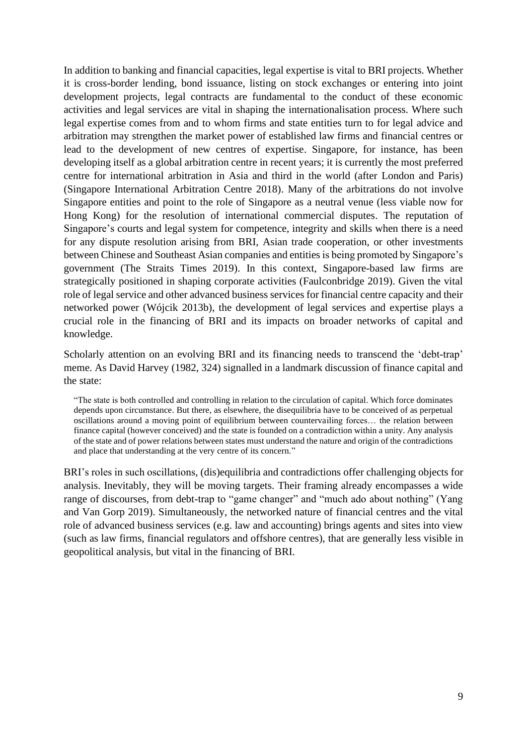In addition to banking and financial capacities, legal expertise is vital to BRI projects. Whether it is cross-border lending, bond issuance, listing on stock exchanges or entering into joint development projects, legal contracts are fundamental to the conduct of these economic activities and legal services are vital in shaping the internationalisation process. Where such legal expertise comes from and to whom firms and state entities turn to for legal advice and arbitration may strengthen the market power of established law firms and financial centres or lead to the development of new centres of expertise. Singapore, for instance, has been developing itself as a global arbitration centre in recent years; it is currently the most preferred centre for international arbitration in Asia and third in the world (after London and Paris) (Singapore International Arbitration Centre 2018). Many of the arbitrations do not involve Singapore entities and point to the role of Singapore as a neutral venue (less viable now for Hong Kong) for the resolution of international commercial disputes. The reputation of Singapore's courts and legal system for competence, integrity and skills when there is a need for any dispute resolution arising from BRI, Asian trade cooperation, or other investments between Chinese and Southeast Asian companies and entities is being promoted by Singapore's government (The Straits Times 2019). In this context, Singapore-based law firms are strategically positioned in shaping corporate activities (Faulconbridge 2019). Given the vital role of legal service and other advanced business services for financial centre capacity and their networked power (Wójcik 2013b), the development of legal services and expertise plays a crucial role in the financing of BRI and its impacts on broader networks of capital and knowledge.

Scholarly attention on an evolving BRI and its financing needs to transcend the 'debt-trap' meme. As David Harvey (1982, 324) signalled in a landmark discussion of finance capital and the state:

"The state is both controlled and controlling in relation to the circulation of capital. Which force dominates depends upon circumstance. But there, as elsewhere, the disequilibria have to be conceived of as perpetual oscillations around a moving point of equilibrium between countervailing forces… the relation between finance capital (however conceived) and the state is founded on a contradiction within a unity. Any analysis of the state and of power relations between states must understand the nature and origin of the contradictions and place that understanding at the very centre of its concern."

BRI's roles in such oscillations, (dis)equilibria and contradictions offer challenging objects for analysis. Inevitably, they will be moving targets. Their framing already encompasses a wide range of discourses, from debt-trap to "game changer" and "much ado about nothing" (Yang and Van Gorp 2019). Simultaneously, the networked nature of financial centres and the vital role of advanced business services (e.g. law and accounting) brings agents and sites into view (such as law firms, financial regulators and offshore centres), that are generally less visible in geopolitical analysis, but vital in the financing of BRI.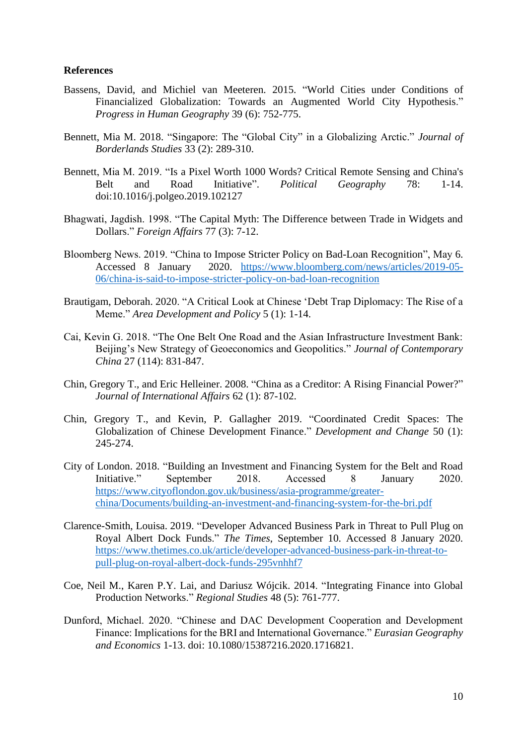#### **References**

- Bassens, David, and Michiel van Meeteren. 2015. "World Cities under Conditions of Financialized Globalization: Towards an Augmented World City Hypothesis." *Progress in Human Geography* 39 (6): 752-775.
- Bennett, Mia M. 2018. "Singapore: The "Global City" in a Globalizing Arctic." *Journal of Borderlands Studies* 33 (2): 289-310.
- Bennett, Mia M. 2019. "Is a Pixel Worth 1000 Words? Critical Remote Sensing and China's Belt and Road Initiative". *Political Geography* 78: 1-14. doi:10.1016/j.polgeo.2019.102127
- Bhagwati, Jagdish. 1998. "The Capital Myth: The Difference between Trade in Widgets and Dollars." *Foreign Affairs* 77 (3): 7-12.
- Bloomberg News. 2019. "China to Impose Stricter Policy on Bad-Loan Recognition", May 6. Accessed 8 January 2020. [https://www.bloomberg.com/news/articles/2019-05-](https://www.bloomberg.com/news/articles/2019-05-06/china-is-said-to-impose-stricter-policy-on-bad-loan-recognition) [06/china-is-said-to-impose-stricter-policy-on-bad-loan-recognition](https://www.bloomberg.com/news/articles/2019-05-06/china-is-said-to-impose-stricter-policy-on-bad-loan-recognition)
- Brautigam, Deborah. 2020. "A Critical Look at Chinese 'Debt Trap Diplomacy: The Rise of a Meme." *Area Development and Policy* 5 (1): 1-14.
- Cai, Kevin G. 2018. "The One Belt One Road and the Asian Infrastructure Investment Bank: Beijing's New Strategy of Geoeconomics and Geopolitics." *Journal of Contemporary China* 27 (114): 831-847.
- Chin, Gregory T., and Eric Helleiner. 2008. "China as a Creditor: A Rising Financial Power?" *Journal of International Affairs* 62 (1): 87-102.
- Chin, Gregory T., and Kevin, P. Gallagher 2019. "Coordinated Credit Spaces: The Globalization of Chinese Development Finance." *Development and Change* 50 (1): 245-274.
- City of London. 2018. "Building an Investment and Financing System for the Belt and Road Initiative." September 2018. Accessed 8 January 2020. [https://www.cityoflondon.gov.uk/business/asia-programme/greater](https://www.cityoflondon.gov.uk/business/asia-programme/greater-china/Documents/building-an-investment-and-financing-system-for-the-bri.pdf)[china/Documents/building-an-investment-and-financing-system-for-the-bri.pdf](https://www.cityoflondon.gov.uk/business/asia-programme/greater-china/Documents/building-an-investment-and-financing-system-for-the-bri.pdf)
- Clarence-Smith, Louisa. 2019. "Developer Advanced Business Park in Threat to Pull Plug on Royal Albert Dock Funds." *The Times*, September 10. Accessed 8 January 2020. [https://www.thetimes.co.uk/article/developer-advanced-business-park-in-threat-to](https://www.thetimes.co.uk/article/developer-advanced-business-park-in-threat-to-pull-plug-on-royal-albert-dock-funds-295vnhhf7)[pull-plug-on-royal-albert-dock-funds-295vnhhf7](https://www.thetimes.co.uk/article/developer-advanced-business-park-in-threat-to-pull-plug-on-royal-albert-dock-funds-295vnhhf7)
- Coe, Neil M., Karen P.Y. Lai, and Dariusz Wójcik. 2014. "Integrating Finance into Global Production Networks." *Regional Studies* 48 (5): 761-777.
- Dunford, Michael. 2020. "Chinese and DAC Development Cooperation and Development Finance: Implications for the BRI and International Governance." *Eurasian Geography and Economics* 1-13. doi: 10.1080/15387216.2020.1716821.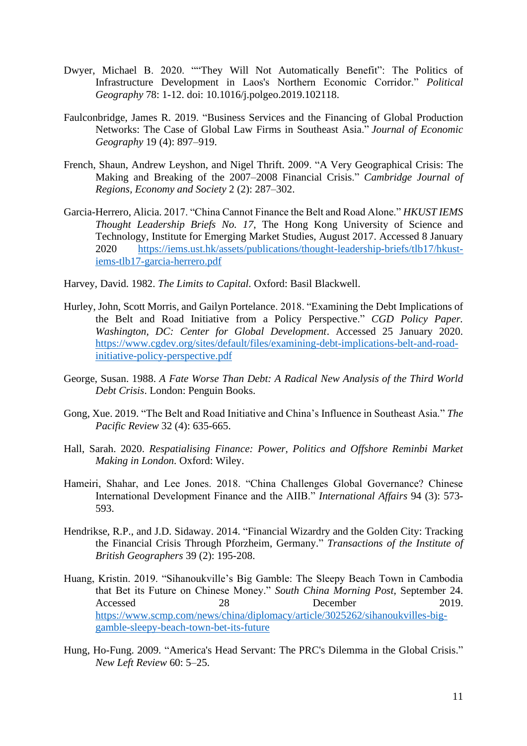- Dwyer, Michael B. 2020. ""They Will Not Automatically Benefit": The Politics of Infrastructure Development in Laos's Northern Economic Corridor." *Political Geography* 78: 1-12. doi: 10.1016/j.polgeo.2019.102118.
- Faulconbridge, James R. 2019. "Business Services and the Financing of Global Production Networks: The Case of Global Law Firms in Southeast Asia." *Journal of Economic Geography* 19 (4): 897–919.
- French, Shaun, Andrew Leyshon, and Nigel Thrift. 2009. "A Very Geographical Crisis: The Making and Breaking of the 2007–2008 Financial Crisis." *Cambridge Journal of Regions, Economy and Society* 2 (2): 287–302.
- Garcia-Herrero, Alicia. 2017. "China Cannot Finance the Belt and Road Alone." *HKUST IEMS Thought Leadership Briefs No. 17*, The Hong Kong University of Science and Technology, Institute for Emerging Market Studies, August 2017. Accessed 8 January 2020 [https://iems.ust.hk/assets/publications/thought-leadership-briefs/tlb17/hkust](https://iems.ust.hk/assets/publications/thought-leadership-briefs/tlb17/hkust-iems-tlb17-garcia-herrero.pdf)[iems-tlb17-garcia-herrero.pdf](https://iems.ust.hk/assets/publications/thought-leadership-briefs/tlb17/hkust-iems-tlb17-garcia-herrero.pdf)

Harvey, David. 1982. *The Limits to Capital.* Oxford: Basil Blackwell.

- Hurley, John, Scott Morris, and Gailyn Portelance. 2018. "Examining the Debt Implications of the Belt and Road Initiative from a Policy Perspective." *CGD Policy Paper. Washington, DC: Center for Global Development*. Accessed 25 January 2020. [https://www.cgdev.org/sites/default/files/examining-debt-implications-belt-and-road](https://www.cgdev.org/sites/default/files/examining-debt-implications-belt-and-road-initiative-policy-perspective.pdf)[initiative-policy-perspective.pdf](https://www.cgdev.org/sites/default/files/examining-debt-implications-belt-and-road-initiative-policy-perspective.pdf)
- George, Susan. 1988. *A Fate Worse Than Debt: A Radical New Analysis of the Third World Debt Crisis*. London: Penguin Books.
- Gong, Xue. 2019. "The Belt and Road Initiative and China's Influence in Southeast Asia." *The Pacific Review* 32 (4): 635-665.
- Hall, Sarah. 2020. *Respatialising Finance: Power, Politics and Offshore Reminbi Market Making in London.* Oxford: Wiley.
- Hameiri, Shahar, and Lee Jones. 2018. "China Challenges Global Governance? Chinese International Development Finance and the AIIB." *International Affairs* 94 (3): 573- 593.
- Hendrikse, R.P., and J.D. Sidaway. 2014. "Financial Wizardry and the Golden City: Tracking the Financial Crisis Through Pforzheim, Germany." *Transactions of the Institute of British Geographers* 39 (2): 195-208.
- Huang, Kristin. 2019. "Sihanoukville's Big Gamble: The Sleepy Beach Town in Cambodia that Bet its Future on Chinese Money." *South China Morning Post*, September 24. Accessed 28 December 2019. [https://www.scmp.com/news/china/diplomacy/article/3025262/sihanoukvilles-big](https://www.scmp.com/news/china/diplomacy/article/3025262/sihanoukvilles-big-gamble-sleepy-beach-town-bet-its-future)[gamble-sleepy-beach-town-bet-its-future](https://www.scmp.com/news/china/diplomacy/article/3025262/sihanoukvilles-big-gamble-sleepy-beach-town-bet-its-future)
- Hung, Ho-Fung. 2009. "America's Head Servant: The PRC's Dilemma in the Global Crisis." *New Left Review* 60: 5–25.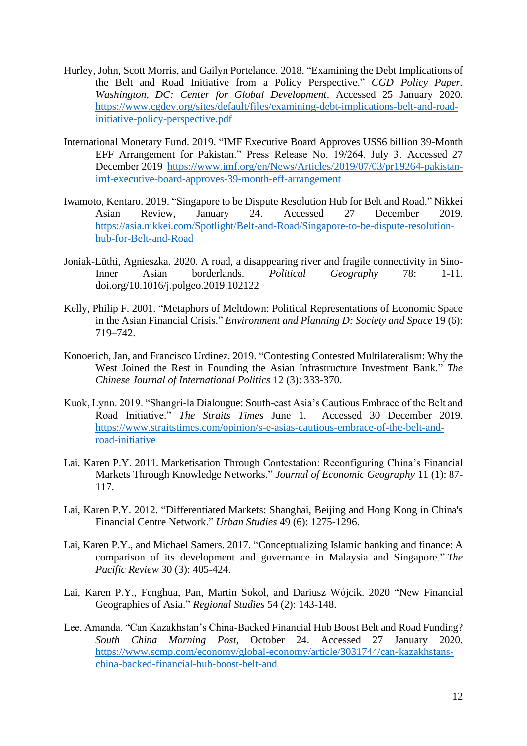- Hurley, John, Scott Morris, and Gailyn Portelance. 2018. "Examining the Debt Implications of the Belt and Road Initiative from a Policy Perspective." *CGD Policy Paper. Washington, DC: Center for Global Development*. Accessed 25 January 2020. [https://www.cgdev.org/sites/default/files/examining-debt-implications-belt-and-road](https://www.cgdev.org/sites/default/files/examining-debt-implications-belt-and-road-initiative-policy-perspective.pdf)[initiative-policy-perspective.pdf](https://www.cgdev.org/sites/default/files/examining-debt-implications-belt-and-road-initiative-policy-perspective.pdf)
- International Monetary Fund. 2019. "IMF Executive Board Approves US\$6 billion 39-Month EFF Arrangement for Pakistan." Press Release No. 19/264. July 3. Accessed 27 December 2019 [https://www.imf.org/en/News/Articles/2019/07/03/pr19264-pakistan](https://www.imf.org/en/News/Articles/2019/07/03/pr19264-pakistan-imf-executive-board-approves-39-month-eff-arrangement)[imf-executive-board-approves-39-month-eff-arrangement](https://www.imf.org/en/News/Articles/2019/07/03/pr19264-pakistan-imf-executive-board-approves-39-month-eff-arrangement)
- Iwamoto, Kentaro. 2019. "Singapore to be Dispute Resolution Hub for Belt and Road." Nikkei Asian Review, January 24. Accessed 27 December 2019. [https://asia.nikkei.com/Spotlight/Belt-and-Road/Singapore-to-be-dispute-resolution](https://asia.nikkei.com/Spotlight/Belt-and-Road/Singapore-to-be-dispute-resolution-hub-for-Belt-and-Road)[hub-for-Belt-and-Road](https://asia.nikkei.com/Spotlight/Belt-and-Road/Singapore-to-be-dispute-resolution-hub-for-Belt-and-Road)
- Joniak-Lüthi, Agnieszka. 2020. A road, a disappearing river and fragile connectivity in Sino-Inner Asian borderlands. *Political Geography* 78: 1-11. doi.org/10.1016/j.polgeo.2019.102122
- Kelly, Philip F. 2001. "Metaphors of Meltdown: Political Representations of Economic Space in the Asian Financial Crisis." *Environment and Planning D: Society and Space* 19 (6): 719–742.
- Konoerich, Jan, and Francisco Urdinez. 2019. "Contesting Contested Multilateralism: Why the West Joined the Rest in Founding the Asian Infrastructure Investment Bank." *The Chinese Journal of International Politics* 12 (3): 333-370.
- Kuok, Lynn. 2019. "Shangri-la Dialougue: South-east Asia's Cautious Embrace of the Belt and Road Initiative." *The Straits Times* June 1. Accessed 30 December 2019. [https://www.straitstimes.com/opinion/s-e-asias-cautious-embrace-of-the-belt-and](https://www.straitstimes.com/opinion/s-e-asias-cautious-embrace-of-the-belt-and-road-initiative)[road-initiative](https://www.straitstimes.com/opinion/s-e-asias-cautious-embrace-of-the-belt-and-road-initiative)
- Lai, Karen P.Y. 2011. Marketisation Through Contestation: Reconfiguring China's Financial Markets Through Knowledge Networks." *Journal of Economic Geography* 11 (1): 87- 117.
- Lai, Karen P.Y. 2012. "Differentiated Markets: Shanghai, Beijing and Hong Kong in China's Financial Centre Network." *Urban Studies* 49 (6): 1275-1296.
- Lai, Karen P.Y., and Michael Samers. 2017. "Conceptualizing Islamic banking and finance: A comparison of its development and governance in Malaysia and Singapore." *The Pacific Review* 30 (3): 405-424.
- Lai, Karen P.Y., Fenghua, Pan, Martin Sokol, and Dariusz Wójcik. 2020 "New Financial Geographies of Asia." *Regional Studies* 54 (2): 143-148.
- Lee, Amanda. "Can Kazakhstan's China-Backed Financial Hub Boost Belt and Road Funding? *South China Morning Post*, October 24. Accessed 27 January 2020. [https://www.scmp.com/economy/global-economy/article/3031744/can-kazakhstans](https://www.scmp.com/economy/global-economy/article/3031744/can-kazakhstans-china-backed-financial-hub-boost-belt-and)[china-backed-financial-hub-boost-belt-and](https://www.scmp.com/economy/global-economy/article/3031744/can-kazakhstans-china-backed-financial-hub-boost-belt-and)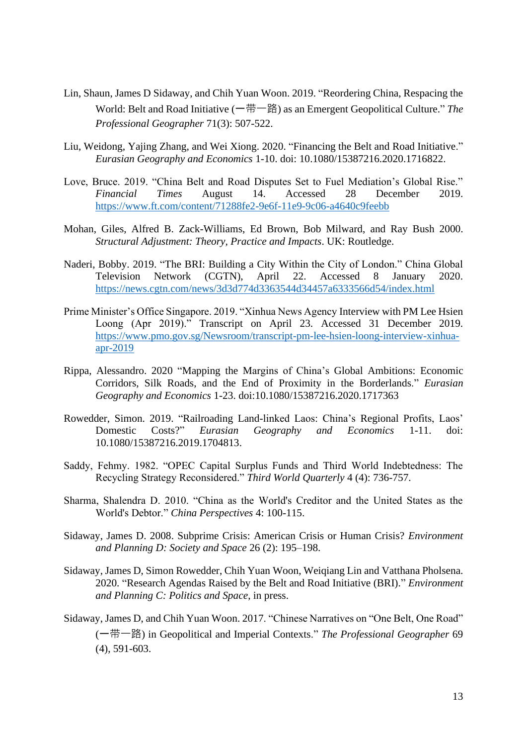- Lin, Shaun, James D Sidaway, and Chih Yuan Woon. 2019. "Reordering China, Respacing the World: Belt and Road Initiative (一带一路) as an Emergent Geopolitical Culture." *The Professional Geographer* 71(3): 507-522.
- Liu, Weidong, Yajing Zhang, and Wei Xiong. 2020. "Financing the Belt and Road Initiative." *Eurasian Geography and Economics* 1-10. doi: 10.1080/15387216.2020.1716822.
- Love, Bruce. 2019. "China Belt and Road Disputes Set to Fuel Mediation's Global Rise." *Financial Times* August 14. Accessed 28 December 2019. <https://www.ft.com/content/71288fe2-9e6f-11e9-9c06-a4640c9feebb>
- Mohan, Giles, Alfred B. Zack-Williams, Ed Brown, Bob Milward, and Ray Bush 2000. *Structural Adjustment: Theory, Practice and Impacts*. UK: Routledge.
- Naderi, Bobby. 2019. "The BRI: Building a City Within the City of London." China Global Television Network (CGTN), April 22. Accessed 8 January 2020. <https://news.cgtn.com/news/3d3d774d3363544d34457a6333566d54/index.html>
- Prime Minister's Office Singapore. 2019. "Xinhua News Agency Interview with PM Lee Hsien Loong (Apr 2019)." Transcript on April 23. Accessed 31 December 2019. [https://www.pmo.gov.sg/Newsroom/transcript-pm-lee-hsien-loong-interview-xinhua](https://www.pmo.gov.sg/Newsroom/transcript-pm-lee-hsien-loong-interview-xinhua-apr-2019)[apr-2019](https://www.pmo.gov.sg/Newsroom/transcript-pm-lee-hsien-loong-interview-xinhua-apr-2019)
- Rippa, Alessandro. 2020 "Mapping the Margins of China's Global Ambitions: Economic Corridors, Silk Roads, and the End of Proximity in the Borderlands." *Eurasian Geography and Economics* 1-23. doi:10.1080/15387216.2020.1717363
- Rowedder, Simon. 2019. "Railroading Land-linked Laos: China's Regional Profits, Laos' Domestic Costs?" *Eurasian Geography and Economics* 1-11. doi: 10.1080/15387216.2019.1704813.
- Saddy, Fehmy. 1982. "OPEC Capital Surplus Funds and Third World Indebtedness: The Recycling Strategy Reconsidered." *Third World Quarterly* 4 (4): 736-757.
- Sharma, Shalendra D. 2010. "China as the World's Creditor and the United States as the World's Debtor." *China Perspectives* 4: 100-115.
- Sidaway, James D. 2008. Subprime Crisis: American Crisis or Human Crisis? *Environment and Planning D: Society and Space* 26 (2): 195–198.
- Sidaway, James D, Simon Rowedder, Chih Yuan Woon, Weiqiang Lin and Vatthana Pholsena. 2020. "Research Agendas Raised by the Belt and Road Initiative (BRI)." *Environment and Planning C: Politics and Space*, in press.
- Sidaway, James D, and Chih Yuan Woon. 2017. "Chinese Narratives on "One Belt, One Road" (一带一路) in Geopolitical and Imperial Contexts." *The Professional Geographer* 69 (4), 591-603.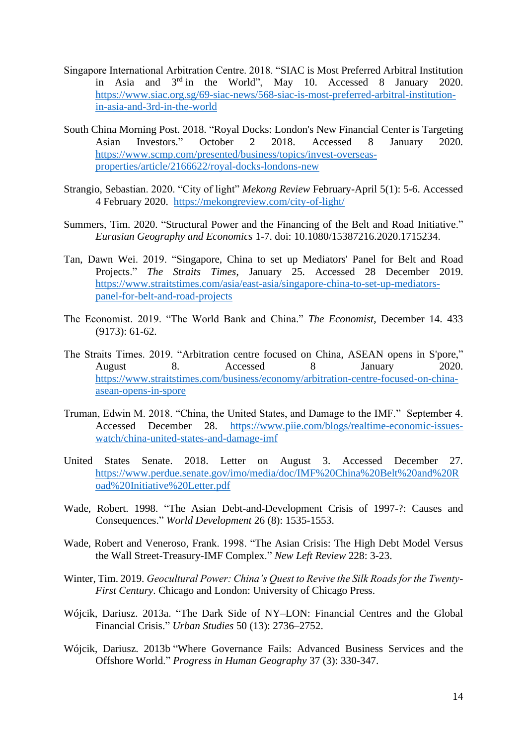- Singapore International Arbitration Centre. 2018. "SIAC is Most Preferred Arbitral Institution in Asia and 3rd in the World", May 10. Accessed 8 January 2020. [https://www.siac.org.sg/69-siac-news/568-siac-is-most-preferred-arbitral-institution](https://www.siac.org.sg/69-siac-news/568-siac-is-most-preferred-arbitral-institution-in-asia-and-3rd-in-the-world)[in-asia-and-3rd-in-the-world](https://www.siac.org.sg/69-siac-news/568-siac-is-most-preferred-arbitral-institution-in-asia-and-3rd-in-the-world)
- South China Morning Post. 2018. "Royal Docks: London's New Financial Center is Targeting Asian Investors." October 2 2018. Accessed 8 January 2020. [https://www.scmp.com/presented/business/topics/invest-overseas](https://www.scmp.com/presented/business/topics/invest-overseas-properties/article/2166622/royal-docks-londons-new)[properties/article/2166622/royal-docks-londons-new](https://www.scmp.com/presented/business/topics/invest-overseas-properties/article/2166622/royal-docks-londons-new)
- Strangio, Sebastian. 2020. "City of light" *Mekong Review* February-April 5(1): 5-6. Accessed 4 February 2020. <https://mekongreview.com/city-of-light/>
- Summers, Tim. 2020. "Structural Power and the Financing of the Belt and Road Initiative." *Eurasian Geography and Economics* 1-7. doi: 10.1080/15387216.2020.1715234.
- Tan, Dawn Wei. 2019. "Singapore, China to set up Mediators' Panel for Belt and Road Projects." *The Straits Times*, January 25. Accessed 28 December 2019. [https://www.straitstimes.com/asia/east-asia/singapore-china-to-set-up-mediators](https://www.straitstimes.com/asia/east-asia/singapore-china-to-set-up-mediators-panel-for-belt-and-road-projects)[panel-for-belt-and-road-projects](https://www.straitstimes.com/asia/east-asia/singapore-china-to-set-up-mediators-panel-for-belt-and-road-projects)
- The Economist. 2019. "The World Bank and China." *The Economist*, December 14. 433 (9173): 61-62.
- The Straits Times. 2019. "Arbitration centre focused on China, ASEAN opens in S'pore," August 8. Accessed 8 January 2020. [https://www.straitstimes.com/business/economy/arbitration-centre-focused-on-china](https://www.straitstimes.com/business/economy/arbitration-centre-focused-on-china-asean-opens-in-spore)[asean-opens-in-spore](https://www.straitstimes.com/business/economy/arbitration-centre-focused-on-china-asean-opens-in-spore)
- Truman, Edwin M. 2018. "China, the United States, and Damage to the IMF." September 4. Accessed December 28. [https://www.piie.com/blogs/realtime-economic-issues](https://www.piie.com/blogs/realtime-economic-issues-watch/china-united-states-and-damage-imf)[watch/china-united-states-and-damage-imf](https://www.piie.com/blogs/realtime-economic-issues-watch/china-united-states-and-damage-imf)
- United States Senate. 2018. Letter on August 3. Accessed December 27. [https://www.perdue.senate.gov/imo/media/doc/IMF%20China%20Belt%20and%20R](https://www.perdue.senate.gov/imo/media/doc/IMF%20China%20Belt%20and%20Road%20Initiative%20Letter.pdf) [oad%20Initiative%20Letter.pdf](https://www.perdue.senate.gov/imo/media/doc/IMF%20China%20Belt%20and%20Road%20Initiative%20Letter.pdf)
- Wade, Robert. 1998. "The Asian Debt-and-Development Crisis of 1997-?: Causes and Consequences." *World Development* 26 (8): 1535-1553.
- Wade, Robert and Veneroso, Frank. 1998. "The Asian Crisis: The High Debt Model Versus the Wall Street-Treasury-IMF Complex." *New Left Review* 228: 3-23.
- Winter, Tim. 2019. *Geocultural Power: China's Quest to Revive the Silk Roads for the Twenty-First Century*. Chicago and London: University of Chicago Press.
- Wójcik, Dariusz. 2013a. "The Dark Side of NY–LON: Financial Centres and the Global Financial Crisis." *Urban Studies* 50 (13): 2736–2752.
- Wójcik, Dariusz. 2013b "Where Governance Fails: Advanced Business Services and the Offshore World." *Progress in Human Geography* 37 (3): 330-347.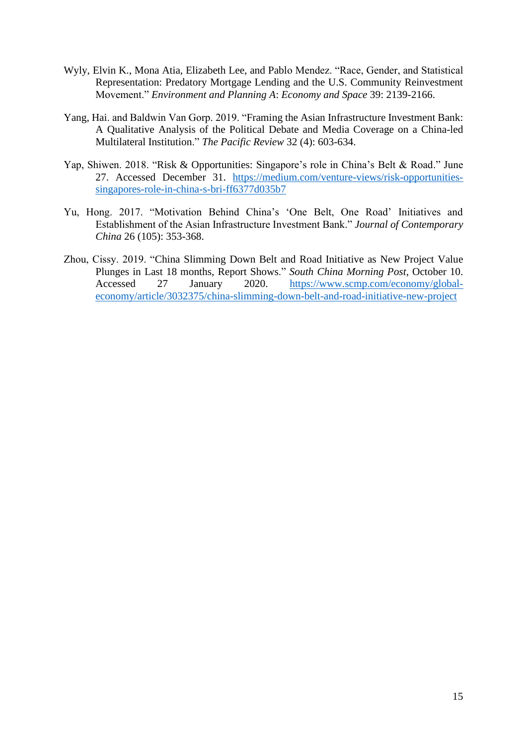- Wyly, Elvin K., Mona Atia, Elizabeth Lee, and Pablo Mendez. "Race, Gender, and Statistical Representation: Predatory Mortgage Lending and the U.S. Community Reinvestment Movement." *Environment and Planning A*: *Economy and Space* 39: 2139-2166.
- Yang, Hai. and Baldwin Van Gorp. 2019. "Framing the Asian Infrastructure Investment Bank: A Qualitative Analysis of the Political Debate and Media Coverage on a China-led Multilateral Institution." *The Pacific Review* 32 (4): 603-634.
- Yap, Shiwen. 2018. "Risk & Opportunities: Singapore's role in China's Belt & Road." June 27. Accessed December 31. [https://medium.com/venture-views/risk-opportunities](https://medium.com/venture-views/risk-opportunities-singapores-role-in-china-s-bri-ff6377d035b7)[singapores-role-in-china-s-bri-ff6377d035b7](https://medium.com/venture-views/risk-opportunities-singapores-role-in-china-s-bri-ff6377d035b7)
- Yu, Hong. 2017. "Motivation Behind China's 'One Belt, One Road' Initiatives and Establishment of the Asian Infrastructure Investment Bank." *Journal of Contemporary China* 26 (105): 353-368.
- Zhou, Cissy. 2019. "China Slimming Down Belt and Road Initiative as New Project Value Plunges in Last 18 months, Report Shows." *South China Morning Post*, October 10. Accessed 27 January 2020. [https://www.scmp.com/economy/global](https://www.scmp.com/economy/global-economy/article/3032375/china-slimming-down-belt-and-road-initiative-new-project)[economy/article/3032375/china-slimming-down-belt-and-road-initiative-new-project](https://www.scmp.com/economy/global-economy/article/3032375/china-slimming-down-belt-and-road-initiative-new-project)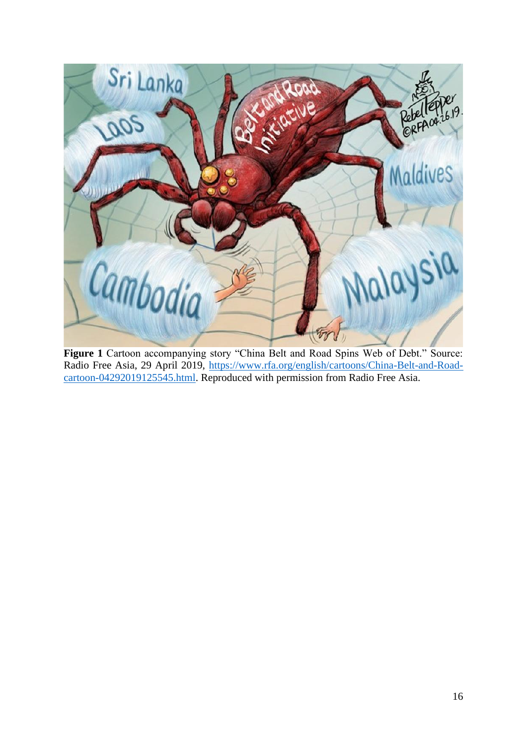

Figure 1 Cartoon accompanying story "China Belt and Road Spins Web of Debt." Source: Radio Free Asia, 29 April 2019, [https://www.rfa.org/english/cartoons/China-Belt-and-Road](https://www.rfa.org/english/cartoons/China-Belt-and-Road-cartoon-04292019125545.html)[cartoon-04292019125545.html.](https://www.rfa.org/english/cartoons/China-Belt-and-Road-cartoon-04292019125545.html) Reproduced with permission from Radio Free Asia.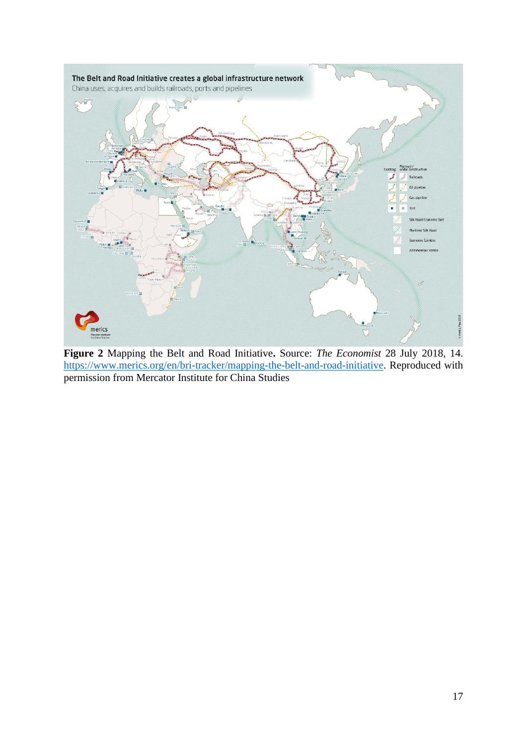

**Figure 2** Mapping the Belt and Road Initiative**.** Source: *The Economist* 28 July 2018, 14. [https://www.merics.org/en/bri-tracker/mapping-the-belt-and-road-initiative.](https://www.merics.org/en/bri-tracker/mapping-the-belt-and-road-initiative) Reproduced with permission from Mercator Institute for China Studies